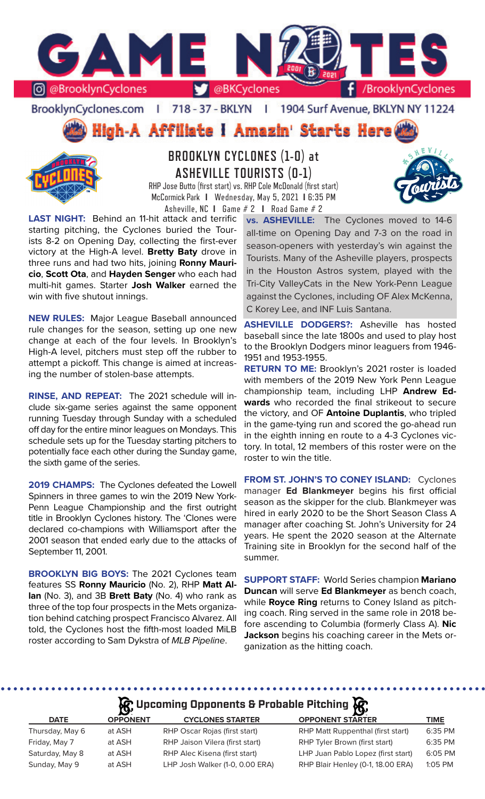

BrooklynCyclones.com | 718 - 37 - BKLYN | 1904 Surf Avenue, BKLYN NY 11224





# **BROOKLYN CYCLONES (1-0) at ASHEVILLE TOURISTS (0-1)**

RHP Jose Butto (first start) vs. RHP Cole McDonald (first start) McCormick Park **I** Wednesday, May 5, 2021 **I** 6:35 PM Asheville, NC **I** Game # 2 **I** Road Game # 2

**LAST NIGHT:** Behind an 11-hit attack and terrific starting pitching, the Cyclones buried the Tourists 8-2 on Opening Day, collecting the first-ever victory at the High-A level. **Bretty Baty** drove in three runs and had two hits, joining **Ronny Mauricio**, **Scott Ota**, and **Hayden Senger** who each had multi-hit games. Starter **Josh Walker** earned the win with five shutout innings.

**NEW RULES:** Major League Baseball announced rule changes for the season, setting up one new change at each of the four levels. In Brooklyn's High-A level, pitchers must step off the rubber to attempt a pickoff. This change is aimed at increasing the number of stolen-base attempts.

**RINSE, AND REPEAT:** The 2021 schedule will include six-game series against the same opponent running Tuesday through Sunday with a scheduled off day for the entire minor leagues on Mondays. This schedule sets up for the Tuesday starting pitchers to potentially face each other during the Sunday game, the sixth game of the series.

**2019 CHAMPS:** The Cyclones defeated the Lowell Spinners in three games to win the 2019 New York-Penn League Championship and the first outright title in Brooklyn Cyclones history. The 'Clones were declared co-champions with Williamsport after the 2001 season that ended early due to the attacks of September 11, 2001.

**BROOKLYN BIG BOYS:** The 2021 Cyclones team features SS **Ronny Mauricio** (No. 2), RHP **Matt Allan** (No. 3), and 3B **Brett Baty** (No. 4) who rank as three of the top four prospects in the Mets organization behind catching prospect Francisco Alvarez. All told, the Cyclones host the fifth-most loaded MiLB roster according to Sam Dykstra of *MLB Pipeline*.

**vs. ASHEVILLE:** The Cyclones moved to 14-6 all-time on Opening Day and 7-3 on the road in season-openers with yesterday's win against the Tourists. Many of the Asheville players, prospects in the Houston Astros system, played with the Tri-City ValleyCats in the New York-Penn League against the Cyclones, including OF Alex McKenna, C Korey Lee, and INF Luis Santana.

**ASHEVILLE DODGERS?:** Asheville has hosted baseball since the late 1800s and used to play host to the Brooklyn Dodgers minor leaguers from 1946- 1951 and 1953-1955.

**RETURN TO ME:** Brooklyn's 2021 roster is loaded with members of the 2019 New York Penn League championship team, including LHP **Andrew Edwards** who recorded the final strikeout to secure the victory, and OF **Antoine Duplantis**, who tripled in the game-tying run and scored the go-ahead run in the eighth inning en route to a 4-3 Cyclones victory. In total, 12 members of this roster were on the roster to win the title.

**FROM ST. JOHN'S TO CONEY ISLAND:** Cyclones manager **Ed Blankmeyer** begins his first official season as the skipper for the club. Blankmeyer was hired in early 2020 to be the Short Season Class A manager after coaching St. John's University for 24 years. He spent the 2020 season at the Alternate Training site in Brooklyn for the second half of the summer.

**SUPPORT STAFF:** World Series champion **Mariano Duncan** will serve **Ed Blankmeyer** as bench coach, while **Royce Ring** returns to Coney Island as pitching coach. Ring served in the same role in 2018 before ascending to Columbia (formerly Class A). **Nic Jackson** begins his coaching career in the Mets organization as the hitting coach.

## **A**: Upcoming Opponents & Probable Pitching  $\mathbb{R}$

| $\mathbf{v}$    |                                 | יש                                 |             |
|-----------------|---------------------------------|------------------------------------|-------------|
| <b>OPPONENT</b> | <b>CYCLONES STARTER</b>         | <b>OPPONENT STARTER</b>            | <b>TIME</b> |
| at ASH          | RHP Oscar Rojas (first start)   | RHP Matt Ruppenthal (first start)  | 6:35 PM     |
| at ASH          | RHP Jaison Vilera (first start) | RHP Tyler Brown (first start)      | 6:35 PM     |
| at ASH          | RHP Alec Kisena (first start)   | LHP Juan Pablo Lopez (first start) | 6:05 PM     |
| at ASH          | LHP Josh Walker (1-0, 0.00 ERA) | RHP Blair Henley (0-1, 18.00 ERA)  | $1:05$ PM   |
|                 |                                 |                                    |             |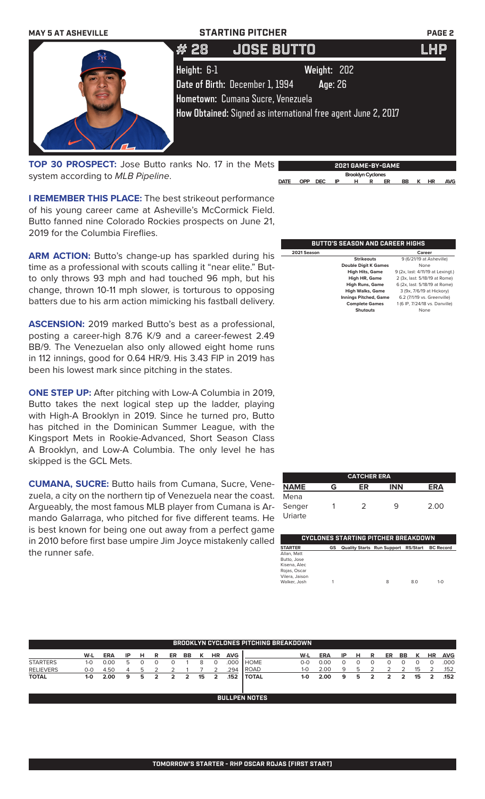

**TOP 30 PROSPECT:** Jose Butto ranks No. 17 in the Mets system according to *MLB Pipeline*.

**2021 GAME-BY-GAME Brooklyn Cyclones DATE OPP DEC IP H R ER BB K HR AVG**

**I REMEMBER THIS PLACE:** The best strikeout performance of his young career came at Asheville's McCormick Field. Butto fanned nine Colorado Rockies prospects on June 21, 2019 for the Columbia Fireflies.

ARM ACTION: Butto's change-up has sparkled during his time as a professional with scouts calling it "near elite." Butto only throws 93 mph and had touched 96 mph, but his change, thrown 10-11 mph slower, is torturous to opposing batters due to his arm action mimicking his fastball delivery.

**ASCENSION:** 2019 marked Butto's best as a professional, posting a career-high 8.76 K/9 and a career-fewest 2.49 BB/9. The Venezuelan also only allowed eight home runs in 112 innings, good for 0.64 HR/9. His 3.43 FIP in 2019 has been his lowest mark since pitching in the states.

**ONE STEP UP:** After pitching with Low-A Columbia in 2019, Butto takes the next logical step up the ladder, playing with High-A Brooklyn in 2019. Since he turned pro, Butto has pitched in the Dominican Summer League, with the Kingsport Mets in Rookie-Advanced, Short Season Class A Brooklyn, and Low-A Columbia. The only level he has skipped is the GCL Mets.

mando Galarraga, who pitched for five different teams. He Uriarte **CUMANA, SUCRE:** Butto hails from Cumana, Sucre, Venezuela, a city on the northern tip of Venezuela near the coast. Argueably, the most famous MLB player from Cumana is Aris best known for being one out away from a perfect game in 2010 before first base umpire Jim Joyce mistakenly called the runner safe.

|             | BUTTO'S SEASON AND CAREER HIGHS |                                   |
|-------------|---------------------------------|-----------------------------------|
| 2021 Season |                                 | Career                            |
|             | <b>Strikeouts</b>               | 9 (6/21/19 at Asheville)          |
|             | <b>Double Digit K Games</b>     | None                              |
|             | <b>High Hits, Game</b>          | 9 (2x, last: 4/11/19 at Lexingt.) |
|             | High HR, Game                   | 2 (3x, last: 5/18/19 at Rome)     |
|             | <b>High Runs, Game</b>          | 6 (2x, last: 5/18/19 at Rome)     |
|             | <b>High Walks, Game</b>         | 3 (9x, 7/6/19 at Hickory)         |
|             | <b>Innings Pitched, Game</b>    | 6.2 (7/1/19 vs. Greenville)       |
|             | <b>Complete Games</b>           | 1 (6 IP, 7/24/18 vs. Danville)    |
|             | <b>Shutouts</b>                 | None                              |

|                   |   | <b>CATCHER ERA</b> |            |      |
|-------------------|---|--------------------|------------|------|
| <b>NAME</b>       | G | ER                 | <b>INN</b> | ERΔ  |
| Mena              |   |                    |            |      |
| Senger<br>lriarte |   | っ                  | q          | 2.00 |

|                |    | <b>CYCLONES STARTING PITCHER BREAKDOWN</b>    |   |     |         |
|----------------|----|-----------------------------------------------|---|-----|---------|
| <b>STARTER</b> | GS | Quality Starts Run Support RS/Start BC Record |   |     |         |
| Allan, Matt    |    |                                               |   |     |         |
| Butto, Jose    |    |                                               |   |     |         |
| Kisena, Alec   |    |                                               |   |     |         |
| Rojas, Oscar   |    |                                               |   |     |         |
| Vilera, Jaison |    |                                               |   |     |         |
| Walker, Josh   |    |                                               | 8 | 8.0 | $1 - 0$ |

|                  |         |            |    |    |   |               |                |    |           |            | <b>BROOKLYN CYCLONES PITCHING BREAKDOWN</b> |         |            |    |              |   |    |    |    |           |            |
|------------------|---------|------------|----|----|---|---------------|----------------|----|-----------|------------|---------------------------------------------|---------|------------|----|--------------|---|----|----|----|-----------|------------|
|                  | W-L     | <b>ERA</b> | ΙP | н  | R | ER            | BB             |    | <b>HR</b> | <b>AVG</b> |                                             | W-L     | <b>ERA</b> | ΙP | н            | R | ER | BB | к  | <b>HR</b> | <b>AVG</b> |
| <b>STARTERS</b>  | $1-0$   | 0.00       |    |    |   |               |                |    |           | 000        | <b>HOME</b>                                 | $O-O$   | 0.00       |    |              |   |    |    |    |           | .000       |
| <b>RELIEVERS</b> | 0-0     | 4.50       |    |    |   |               |                |    |           | .294       | l ROAD                                      | $1 - O$ | 2.00       | Q  | $\mathbf{r}$ |   |    |    | 15 |           | .152       |
| <b>TOTAL</b>     | $1 - 0$ | 2.00       | 9  | 5. |   | $\mathcal{P}$ | $\overline{2}$ | 15 | 2         | .152       | I TOTAL                                     | 1-0     | 2.00       | 9  | 5            |   | 2  | 2  | 15 | 2         | .152       |
|                  |         |            |    |    |   |               |                |    |           |            | <b>BULLPEN NOTES</b>                        |         |            |    |              |   |    |    |    |           |            |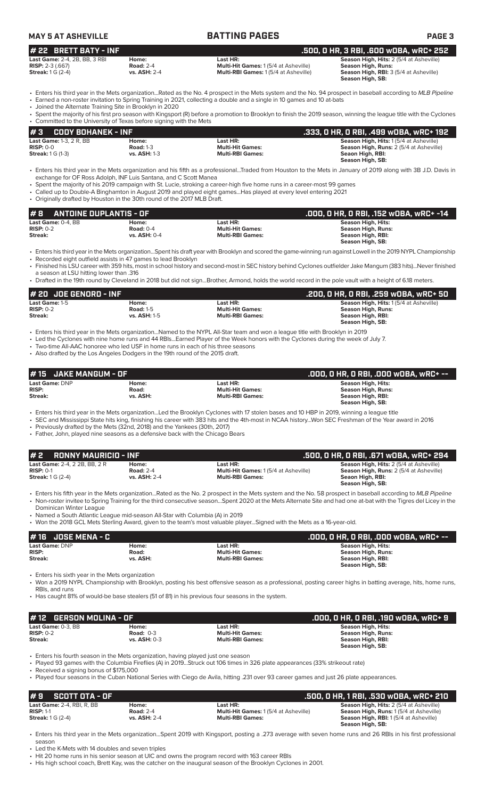| <b>MAY 5 AT ASHEVILLE</b>                                                                                                                                               |                                                                  | <b>BATTING PAGES</b>                                                                                                                                                                                                                                                                                                                                                                                                                                                                          | <b>PAGE 3</b>                                                                                                                                                          |
|-------------------------------------------------------------------------------------------------------------------------------------------------------------------------|------------------------------------------------------------------|-----------------------------------------------------------------------------------------------------------------------------------------------------------------------------------------------------------------------------------------------------------------------------------------------------------------------------------------------------------------------------------------------------------------------------------------------------------------------------------------------|------------------------------------------------------------------------------------------------------------------------------------------------------------------------|
| # 22 BRETT BATY - INF                                                                                                                                                   |                                                                  |                                                                                                                                                                                                                                                                                                                                                                                                                                                                                               | .500, 0 HR, 3 RBI, .600 w0BA, wRC+ 252                                                                                                                                 |
| Last Game: 2-4, 2B, BB, 3 RBI<br><b>RISP:</b> $2-3$ (.667)<br><b>Streak:</b> 1 G (2-4)                                                                                  | Home:<br><b>Road: 2-4</b><br>vs. ASH: 2-4                        | Last HR:<br>Multi-Hit Games: 1 (5/4 at Asheville)<br>Multi-RBI Games: 1 (5/4 at Asheville)                                                                                                                                                                                                                                                                                                                                                                                                    | Season High. Hits: 2 (5/4 at Asheville)<br>Season High, Runs:<br>Season High, RBI: 3 (5/4 at Asheville)<br>Season High, SB:                                            |
| • Joined the Alternate Training Site in Brooklyn in 2020                                                                                                                |                                                                  | • Enters his third year in the Mets organizationRated as the No. 4 prospect in the Mets system and the No. 94 prospect in baseball according to MLB Pipeline<br>• Earned a non-roster invitation to Spring Training in 2021, collecting a double and a single in 10 games and 10 at-bats                                                                                                                                                                                                      |                                                                                                                                                                        |
| • Committed to the University of Texas before signing with the Mets                                                                                                     |                                                                  | • Spent the majority of his first pro season with Kingsport (R) before a promotion to Brooklyn to finish the 2019 season, winning the league title with the Cyclones                                                                                                                                                                                                                                                                                                                          |                                                                                                                                                                        |
| #3<br><b>CODY BOHANEK - INF</b>                                                                                                                                         |                                                                  |                                                                                                                                                                                                                                                                                                                                                                                                                                                                                               | .333, O HR, O RBI, .499 wOBA, wRC+ 192                                                                                                                                 |
| <b>Last Game: 1-3, 2 R, BB</b><br><b>RISP: 0-0</b><br><b>Streak:</b> 1 G (1-3)                                                                                          | Home:<br><b>Road: 1-3</b><br>vs. ASH: 1-3                        | Last HR:<br><b>Multi-Hit Games:</b><br><b>Multi-RBI Games:</b>                                                                                                                                                                                                                                                                                                                                                                                                                                | Season High, Hits: 1(5/4 at Asheville)<br>Season High, Runs: 2 (5/4 at Asheville)<br>Seaon High, RBI:<br>Season High, SB:                                              |
| • Originally drafted by Houston in the 30th round of the 2017 MLB Draft.                                                                                                | exchange for OF Ross Adolph, INF Luis Santana, and C Scott Manea | • Enters his third year in the Mets organization and his fifth as a professionalTraded from Houston to the Mets in January of 2019 along with 3B J.D. Davis in<br>• Spent the majority of his 2019 campaign with St. Lucie, stroking a career-high five home runs in a career-most 99 games<br>• Called up to Double-A Binghamton in August 2019 and played eight gamesHas played at every level entering 2021                                                                                |                                                                                                                                                                        |
| #8<br><b>ANTOINE DUPLANTIS - OF</b>                                                                                                                                     |                                                                  |                                                                                                                                                                                                                                                                                                                                                                                                                                                                                               | .000, 0 HR, 0 RBI, .152 w0BA, wRC+ -14                                                                                                                                 |
| Last Game: 0-4, BB<br>$RISP: 0-2$<br><b>Streak:</b>                                                                                                                     | Home:<br><b>Road: 0-4</b><br>vs. ASH: 0-4                        | Last HR:<br><b>Multi-Hit Games:</b><br><b>Multi-RBI Games:</b>                                                                                                                                                                                                                                                                                                                                                                                                                                | Season High, Hits:<br><b>Season High, Runs:</b><br>Season High, RBI:<br>Season High, SB:                                                                               |
| • Recorded eight outfield assists in 47 games to lead Brooklyn<br>a season at LSU hitting lower than .316                                                               |                                                                  | · Enters his third year in the Mets organizationSpent his draft year with Brooklyn and scored the game-winning run against Lowell in the 2019 NYPL Championship<br>• Finished his LSU career with 359 hits, most in school history and second-most in SEC history behind Cyclones outfielder Jake Mangum (383 hits)Never finished<br>• Drafted in the 19th round by Cleveland in 2018 but did not signBrother, Armond, holds the world record in the pole vault with a height of 6.18 meters. |                                                                                                                                                                        |
| # 20 JOE GENORD - INF                                                                                                                                                   |                                                                  |                                                                                                                                                                                                                                                                                                                                                                                                                                                                                               | .200, 0 HR, 0 RBI, .259 w0BA, wRC+ 50                                                                                                                                  |
| Last Game: 1-5<br>$RISP: 0-2$<br><b>Streak:</b>                                                                                                                         | Home:<br><b>Road: 1-5</b><br>vs. ASH: 1-5                        | Last HR:<br><b>Multi-Hit Games:</b><br><b>Multi-RBI Games:</b>                                                                                                                                                                                                                                                                                                                                                                                                                                | Season High, Hits: 1(5/4 at Asheville)<br><b>Season High, Runs:</b><br>Season High, RBI:<br>Season High, SB:                                                           |
| • Two-time All-AAC honoree who led USF in home runs in each of his three seasons<br>• Also drafted by the Los Angeles Dodgers in the 19th round of the 2015 draft.      |                                                                  | • Enters his third year in the Mets organization…Named to the NYPL All-Star team and won a league title with Brooklyn in 2019<br>• Led the Cyclones with nine home runs and 44 RBIsEarned Player of the Week honors with the Cyclones during the week of July 7.                                                                                                                                                                                                                              |                                                                                                                                                                        |
| <b>JAKE MANGUM - OF</b>                                                                                                                                                 |                                                                  |                                                                                                                                                                                                                                                                                                                                                                                                                                                                                               | .000, O HR, O RBI, .000 WOBA, WRC+ --                                                                                                                                  |
| <b>Last Game: DNP</b><br><b>RISP:</b><br>Streak:                                                                                                                        | Home:<br>Road:<br>vs. ASH:                                       | Last HR:<br><b>Multi-Hit Games:</b><br><b>Multi-RBI Games:</b>                                                                                                                                                                                                                                                                                                                                                                                                                                | <b>Season High, Hits:</b><br>Season High, Runs:<br>Season High, RBI:<br>Season High, SB:                                                                               |
| • Previously drafted by the Mets (32nd, 2018) and the Yankees (30th, 2017)<br>• Father, John, played nine seasons as a defensive back with the Chicago Bears            |                                                                  | • Enters his third year in the Mets organizationLed the Brooklyn Cyclones with 17 stolen bases and 10 HBP in 2019, winning a league title<br>· SEC and Mississippi State hits king, finishing his career with 383 hits and the 4th-most in NCAA historyWon SEC Freshman of the Year award in 2016                                                                                                                                                                                             |                                                                                                                                                                        |
| #2<br><b>RONNY MAURICIO - INF</b>                                                                                                                                       |                                                                  |                                                                                                                                                                                                                                                                                                                                                                                                                                                                                               | .500, 0 HR, 0 RBI, .671 wOBA, wRC+ 294                                                                                                                                 |
| Last Game: 2-4, 2 2B, BB, 2 R<br>$RISP: 0-1$<br><b>Streak:</b> 1 G (2-4)                                                                                                | Home:<br><b>Road: 2-4</b><br><b>vs. ASH: 2-4</b>                 | Last HR:<br>Multi-Hit Games: 1 (5/4 at Asheville)<br><b>Multi-RBI Games:</b>                                                                                                                                                                                                                                                                                                                                                                                                                  | Season High. Hits: 2 (5/4 at Asheville)<br>Season High, Runs: 2 (5/4 at Asheville)<br>Seaon High, RBI:<br>Season High, SB:                                             |
| Dominican Winter League<br>• Named a South Atlantic League mid-season All-Star with Columbia (A) in 2019                                                                |                                                                  | • Enters his fifth year in the Mets organizationRated as the No. 2 prospect in the Mets system and the No. 58 prospect in baseball according to MLB Pipeline<br>• Non-roster invitee to Spring Training for the third consecutive seasonSpent 2020 at the Mets Alternate Site and had one at-bat with the Tigres del Licey in the<br>• Won the 2018 GCL Mets Sterling Award, given to the team's most valuable playerSigned with the Mets as a 16-year-old.                                   |                                                                                                                                                                        |
|                                                                                                                                                                         |                                                                  |                                                                                                                                                                                                                                                                                                                                                                                                                                                                                               |                                                                                                                                                                        |
| <b>JOSE MENA - C</b><br># 16<br>Last Game: DNP                                                                                                                          | Home:                                                            | Last HR:                                                                                                                                                                                                                                                                                                                                                                                                                                                                                      | .000, O HR, O RBI, .000 WOBA, WRC+ --<br>Season High, Hits:                                                                                                            |
| <b>RISP:</b><br>Streak:                                                                                                                                                 | Road:<br>vs. ASH:                                                | <b>Multi-Hit Games:</b><br><b>Multi-RBI Games:</b>                                                                                                                                                                                                                                                                                                                                                                                                                                            | Season High, Runs:<br>Season High, RBI:<br>Season High, SB:                                                                                                            |
| • Enters his sixth year in the Mets organization<br>RBIs, and runs<br>• Has caught 81% of would-be base stealers (51 of 81) in his previous four seasons in the system. |                                                                  | • Won a 2019 NYPL Championship with Brooklyn, posting his best offensive season as a professional, posting career highs in batting average, hits, home runs,                                                                                                                                                                                                                                                                                                                                  |                                                                                                                                                                        |
| <b>GERSON MOLINA - OF</b><br># 12                                                                                                                                       |                                                                  |                                                                                                                                                                                                                                                                                                                                                                                                                                                                                               | .000, 0 HR, 0 RBI, .190 w0BA, wRC+ 9                                                                                                                                   |
| Last Game: 0-3, BB<br>$RISP: 0-2$<br><b>Streak:</b>                                                                                                                     | Home:<br><b>Road: 0-3</b><br><b>vs. ASH: 0-3</b>                 | Last HR:<br><b>Multi-Hit Games:</b><br><b>Multi-RBI Games:</b>                                                                                                                                                                                                                                                                                                                                                                                                                                | Season High, Hits:<br><b>Season High, Runs:</b><br>Season High, RBI:                                                                                                   |
| • Enters his fourth season in the Mets organization, having played just one season<br>• Received a signing bonus of \$175,000                                           |                                                                  | • Played 93 games with the Columbia Fireflies (A) in 2019Struck out 106 times in 326 plate appearances (33% strikeout rate)<br>• Played four seasons in the Cuban National Series with Ciego de Avila, hitting .231 over 93 career games and just 26 plate appearances.                                                                                                                                                                                                                       | Season High, SB:                                                                                                                                                       |
|                                                                                                                                                                         |                                                                  |                                                                                                                                                                                                                                                                                                                                                                                                                                                                                               |                                                                                                                                                                        |
| #9<br><b>SCOTT OTA - OF</b><br>Last Game: 2-4, RBI, R, BB<br><b>RISP: 1-1</b><br><b>Streak: 1 G (2-4)</b>                                                               | Home:<br><b>Road: 2-4</b><br>vs. ASH: 2-4                        | Last HR:<br>Multi-Hit Games: 1 (5/4 at Asheville)<br><b>Multi-RBI Games:</b>                                                                                                                                                                                                                                                                                                                                                                                                                  | .500, 0 HR, 1 RBI, .530 WOBA, WRC+ 210<br>Season High, Hits: 2 (5/4 at Asheville)<br>Season High, Runs: 1 (5/4 at Asheville)<br>Season High, RBI: 1 (5/4 at Asheville) |
|                                                                                                                                                                         |                                                                  |                                                                                                                                                                                                                                                                                                                                                                                                                                                                                               | Season High, SB:                                                                                                                                                       |

• Enters his third year in the Mets organization...Spent 2019 with Kingsport, posting a .273 average with seven home runs and 26 RBIs in his first professional season

• Led the K-Mets with 14 doubles and seven triples

• Hit 20 home runs in his senior season at UIC and owns the program record with 163 career RBIs

• His high school coach, Brett Kay, was the catcher on the inaugural season of the Brooklyn Cyclones in 2001.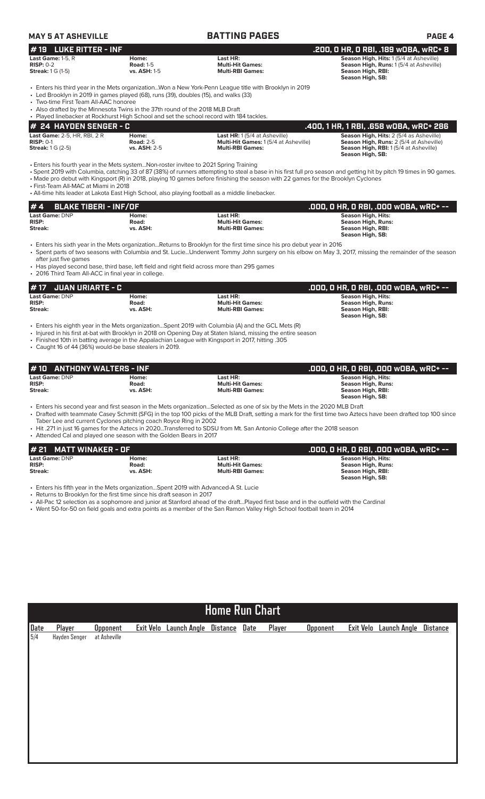| <b>MAY 5 AT ASHEVILLE</b>                                                                                                                                                                                      |                                                  | <b>BATTING PAGES</b>                                                                                                                                                                                                                                                                                                                                                                                                       | <b>PAGE 4</b>                                                                                                                                                                             |
|----------------------------------------------------------------------------------------------------------------------------------------------------------------------------------------------------------------|--------------------------------------------------|----------------------------------------------------------------------------------------------------------------------------------------------------------------------------------------------------------------------------------------------------------------------------------------------------------------------------------------------------------------------------------------------------------------------------|-------------------------------------------------------------------------------------------------------------------------------------------------------------------------------------------|
| #19 LUKE RITTER - INF                                                                                                                                                                                          |                                                  |                                                                                                                                                                                                                                                                                                                                                                                                                            | .200, 0 HR, 0 RBI, .189 w0BA, wRC+ 8                                                                                                                                                      |
| Last Game: 1-5, R<br><b>RISP: 0-2</b><br><b>Streak:</b> 1 G (1-5)                                                                                                                                              | Home:<br><b>Road: 1-5</b><br>vs. ASH: 1-5        | Last HR:<br><b>Multi-Hit Games:</b><br><b>Multi-RBI Games:</b>                                                                                                                                                                                                                                                                                                                                                             | Season High, Hits: 1 (5/4 at Asheville)<br><b>Season High, Runs: 1(5/4 at Asheville)</b><br>Season High, RBI:<br>Season High, SB:                                                         |
| • Led Brooklyn in 2019 in games played (68), runs (39), doubles (15), and walks (33)<br>• Two-time First Team All-AAC honoree<br>• Also drafted by the Minnesota Twins in the 37th round of the 2018 MLB Draft |                                                  | Enters his third year in the Mets organizationWon a New York-Penn League title with Brooklyn in 2019                                                                                                                                                                                                                                                                                                                       |                                                                                                                                                                                           |
| • Played linebacker at Rockhurst High School and set the school record with 184 tackles.                                                                                                                       |                                                  |                                                                                                                                                                                                                                                                                                                                                                                                                            |                                                                                                                                                                                           |
| # 24 HAYDEN SENGER - C<br>Last Game: 2-5, HR, RBI, 2 R<br><b>RISP: 0-1</b><br><b>Streak:</b> 1 G (2-5)                                                                                                         | Home:<br><b>Road: 2-5</b><br><b>vs. ASH: 2-5</b> | Last HR: 1 (5/4 at Asheville)<br>Multi-Hit Games: 1 (5/4 at Asheville)<br><b>Multi-RBI Games:</b>                                                                                                                                                                                                                                                                                                                          | .400, 1 HR, 1 RBI, .658 w0BA, wRC+ 286<br>Season High, Hits: 2 (5/4 as Asheville)<br>Season High, Runs: 2 (5/4 at Asheville)<br>Season High, RBI: 1(5/4 at Asheville)<br>Season High, SB: |
| • Enters his fourth year in the Mets systemNon-roster invitee to 2021 Spring Training<br>• First-Team All-MAC at Miami in 2018                                                                                 |                                                  | • Spent 2019 with Columbia, catching 33 of 87 (38%) of runners attempting to steal a base in his first full pro season and getting hit by pitch 19 times in 90 games.<br>• Made pro debut with Kingsport (R) in 2018, playing 10 games before finishing the season with 22 games for the Brooklyn Cyclones<br>• All-time hits leader at Lakota East High School, also playing football as a middle linebacker.             |                                                                                                                                                                                           |
| <b>BLAKE TIBERI - INF/OF</b><br>#4                                                                                                                                                                             |                                                  |                                                                                                                                                                                                                                                                                                                                                                                                                            | .000, O HR, O RBI, .000 WOBA, WRC+ --                                                                                                                                                     |
| Last Game: DNP<br><b>RISP:</b><br>Streak:                                                                                                                                                                      | Home:<br>Road:<br>vs. ASH:                       | Last HR:<br><b>Multi-Hit Games:</b><br><b>Multi-RBI Games:</b>                                                                                                                                                                                                                                                                                                                                                             | Season High, Hits:<br><b>Season High, Runs:</b><br>Season High, RBI:<br>Season High, SB:                                                                                                  |
| after just five games<br>• 2016 Third Team All-ACC in final year in college.                                                                                                                                   |                                                  | • Enters his sixth year in the Mets organizationReturns to Brooklyn for the first time since his pro debut year in 2016<br>• Spent parts of two seasons with Columbia and St. LucieUnderwent Tommy John surgery on his elbow on May 3, 2017, missing the remainder of the season<br>• Has played second base, third base, left field and right field across more than 295 games                                            |                                                                                                                                                                                           |
| <b>JUAN URIARTE - C</b><br># 17                                                                                                                                                                                |                                                  |                                                                                                                                                                                                                                                                                                                                                                                                                            | .000, O HR, O RBI, .000 wOBA, wRC+ --                                                                                                                                                     |
| Last Game: DNP<br><b>RISP:</b><br><b>Streak:</b>                                                                                                                                                               | Home:<br>Road:<br>vs. ASH:                       | Last HR:<br><b>Multi-Hit Games:</b><br><b>Multi-RBI Games:</b>                                                                                                                                                                                                                                                                                                                                                             | <b>Season High, Hits:</b><br><b>Season High, Runs:</b><br>Season High, RBI:<br>Season High, SB:                                                                                           |
| • Caught 16 of 44 (36%) would-be base stealers in 2019.                                                                                                                                                        |                                                  | Enters his eighth year in the Mets organizationSpent 2019 with Columbia (A) and the GCL Mets (R)<br>• Injured in his first at-bat with Brooklyn in 2018 on Opening Day at Staten Island, missing the entire season<br>. Finished 10th in batting average in the Appalachian League with Kingsport in 2017, hitting .305                                                                                                    |                                                                                                                                                                                           |
| <b>ANTHONY WALTERS - INF</b><br># 10                                                                                                                                                                           |                                                  |                                                                                                                                                                                                                                                                                                                                                                                                                            | .000, 0 HR, 0 RBI, .000 w0BA, wRC+ --                                                                                                                                                     |
| Last Game: DNP<br><b>RISP:</b><br><b>Streak:</b>                                                                                                                                                               | Home:<br>Road:<br>vs. ASH:                       | Last HR:<br><b>Multi-Hit Games:</b><br><b>Multi-RBI Games:</b>                                                                                                                                                                                                                                                                                                                                                             | <b>Season High, Hits:</b><br><b>Season High, Runs:</b><br>Season High, RBI:<br>Season High, SB:                                                                                           |
| Taber Lee and current Cyclones pitching coach Royce Ring in 2002<br>• Attended Cal and played one season with the Golden Bears in 2017                                                                         |                                                  | • Enters his second year and first season in the Mets organizationSelected as one of six by the Mets in the 2020 MLB Draft<br>• Drafted with teammate Casey Schmitt (SFG) in the top 100 picks of the MLB Draft, setting a mark for the first time two Aztecs have been drafted top 100 since<br>• Hit .271 in just 16 games for the Aztecs in 2020…Transferred to SDSU from Mt. San Antonio College after the 2018 season |                                                                                                                                                                                           |
| <b>MATT WINAKER - OF</b>                                                                                                                                                                                       |                                                  |                                                                                                                                                                                                                                                                                                                                                                                                                            | .000, O HR, O RBI, .000 WOBA, WRC+ --                                                                                                                                                     |
| Last Game: DNP<br><b>RISP:</b><br><b>Streak:</b>                                                                                                                                                               | Home:<br>Road:<br>vs. ASH:                       | Last HR:<br><b>Multi-Hit Games:</b><br><b>Multi-RBI Games:</b>                                                                                                                                                                                                                                                                                                                                                             | <b>Season High, Hits:</b><br><b>Season High, Runs:</b><br>Season High, RBI:<br>Season High, SB:                                                                                           |
| • Enters his fifth year in the Mets organizationSpent 2019 with Advanced-A St. Lucie<br>• Returns to Brooklyn for the first time since his draft season in 2017                                                |                                                  | • All-Pac 12 selection as a sophomore and junior at Stanford ahead of the draftPlayed first base and in the outfield with the Cardinal<br>• Went 50-for-50 on field goals and extra points as a member of the San Ramon Valley High School football team in 2014                                                                                                                                                           |                                                                                                                                                                                           |
|                                                                                                                                                                                                                |                                                  |                                                                                                                                                                                                                                                                                                                                                                                                                            |                                                                                                                                                                                           |
|                                                                                                                                                                                                                |                                                  |                                                                                                                                                                                                                                                                                                                                                                                                                            |                                                                                                                                                                                           |

| <b>Home Run Chart</b> |
|-----------------------|
|-----------------------|

| <u> Date</u> | Player        | <b>Opponent</b> | Exit Velo Launch Angle Distance Date |  | Player | <b>Opponent</b> | Exit Velo Launch Angle Distance |  |
|--------------|---------------|-----------------|--------------------------------------|--|--------|-----------------|---------------------------------|--|
| $\sqrt{5/4}$ | Hayden Senger | at Asheville    |                                      |  |        |                 |                                 |  |
|              |               |                 |                                      |  |        |                 |                                 |  |
|              |               |                 |                                      |  |        |                 |                                 |  |
|              |               |                 |                                      |  |        |                 |                                 |  |
|              |               |                 |                                      |  |        |                 |                                 |  |
|              |               |                 |                                      |  |        |                 |                                 |  |
|              |               |                 |                                      |  |        |                 |                                 |  |
|              |               |                 |                                      |  |        |                 |                                 |  |
|              |               |                 |                                      |  |        |                 |                                 |  |
|              |               |                 |                                      |  |        |                 |                                 |  |
|              |               |                 |                                      |  |        |                 |                                 |  |
|              |               |                 |                                      |  |        |                 |                                 |  |
|              |               |                 |                                      |  |        |                 |                                 |  |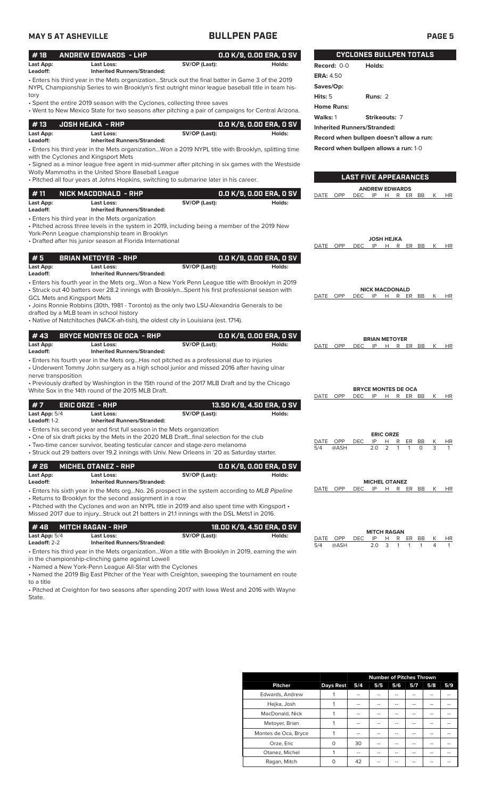| <b>MAY 5 AT ASHEVILLE</b>            |                                                                                                                                                                                                                                                                                                                                                                                                                                        | <b>BULLPEN PAGE</b> |                                     |                                                | <b>PAGE 5</b>                                                                                    |
|--------------------------------------|----------------------------------------------------------------------------------------------------------------------------------------------------------------------------------------------------------------------------------------------------------------------------------------------------------------------------------------------------------------------------------------------------------------------------------------|---------------------|-------------------------------------|------------------------------------------------|--------------------------------------------------------------------------------------------------|
| #18                                  | <b>ANDREW EDWARDS - LHP</b>                                                                                                                                                                                                                                                                                                                                                                                                            |                     | 0.0 K/9, 0.00 ERA, 0 SV             |                                                | <b>CYCLONES BULLPEN TOTALS</b>                                                                   |
| Last App:<br>Leadoff:                | <b>Last Loss:</b><br><b>Inherited Runners/Stranded:</b>                                                                                                                                                                                                                                                                                                                                                                                | SV/OP (Last):       | Holds:                              | Record: 0-0                                    | Holds:                                                                                           |
|                                      | • Enters his third year in the Mets organizationStruck out the final batter in Game 3 of the 2019<br>NYPL Championship Series to win Brooklyn's first outright minor league baseball title in team his-                                                                                                                                                                                                                                |                     |                                     | <b>ERA: 4.50</b><br>Saves/Op:                  |                                                                                                  |
| tory                                 | • Spent the entire 2019 season with the Cyclones, collecting three saves<br>. Went to New Mexico State for two seasons after pitching a pair of campaigns for Central Arizona.                                                                                                                                                                                                                                                         |                     |                                     | Hits: 5<br><b>Home Runs:</b>                   | Runs: 2                                                                                          |
| #13<br>Last App:                     | <b>JOSH HEJKA - RHP</b><br><b>Last Loss:</b>                                                                                                                                                                                                                                                                                                                                                                                           | SV/OP (Last):       | 0.0 K/9, 0.00 ERA, 0 SV<br>Holds:   | Walks: 1<br><b>Inherited Runners/Stranded:</b> | Strikeouts: 7<br>Record when bullpen doesn't allow a run:                                        |
| Leadoff:                             | <b>Inherited Runners/Stranded:</b><br>Enters his third year in the Mets organizationWon a 2019 NYPL title with Brooklyn, splitting time •<br>with the Cyclones and Kingsport Mets<br>· Signed as a minor league free agent in mid-summer after pitching in six games with the Westside<br>Wolly Mammoths in the United Shore Baseball League<br>. Pitched all four years at Johns Hopkins, switching to submarine later in his career. |                     |                                     |                                                | Record when bullpen allows a run: 1-0<br><b>LAST FIVE APPEARANCES</b>                            |
| #11                                  | NICK MACDONALD - RHP                                                                                                                                                                                                                                                                                                                                                                                                                   |                     | 0.0 K/9, 0.00 ERA, 0 SV             | OPP<br>DATE                                    | <b>ANDREW EDWARDS</b><br><b>DEC</b><br>IP H R ER BB<br>K<br>HR                                   |
| Last App:<br>Leadoff:                | Last Loss:<br><b>Inherited Runners/Stranded:</b><br>• Enters his third year in the Mets organization<br>• Pitched across three levels in the system in 2019, including being a member of the 2019 New<br>York-Penn League championship team in Brooklyn<br>• Drafted after his junior season at Florida International                                                                                                                  | SV/OP (Last):       | Holds:                              | DATE OPP                                       | <b>JOSH HEJKA</b><br><b>DEC</b><br>IP<br>H R ER BB<br>K<br>HR                                    |
| #5<br>Last App:<br>Leadoff:          | <b>BRIAN METOYER - RHP</b><br>Last Loss:<br><b>Inherited Runners/Stranded:</b>                                                                                                                                                                                                                                                                                                                                                         | SV/OP (Last):       | 0.0 K/9, 0.00 ERA, 0 SV<br>Holds:   |                                                |                                                                                                  |
| <b>GCL Mets and Kingsport Mets</b>   | · Enters his fourth year in the Mets orgWon a New York Penn League title with Brooklyn in 2019<br>• Struck out 40 batters over 28.2 innings with BrooklynSpent his first professional season with<br>• Joins Ronnie Robbins (30th, 1981 - Toronto) as the only two LSU-Alexandria Generals to be<br>drafted by a MLB team in school history<br>• Native of Natchitoches (NACK-ah-tish), the oldest city in Louisiana (est. 1714).      |                     |                                     | DATE OPP                                       | <b>NICK MACDONALD</b><br><b>DEC</b><br>IP<br>H R ER BB<br>К<br>HR                                |
| #43                                  | <b>BRYCE MONTES DE OCA - RHP</b>                                                                                                                                                                                                                                                                                                                                                                                                       |                     | 0.0 K/9, 0.00 ERA, 0 SV             |                                                | <b>BRIAN METOYER</b>                                                                             |
| Last App:                            | Last Loss:                                                                                                                                                                                                                                                                                                                                                                                                                             | SV/OP (Last):       | Holds:                              | DATE OPP                                       | DEC IP<br>H R ER BB<br>K<br>HR                                                                   |
| Leadoff:<br>nerve transposition      | <b>Inherited Runners/Stranded:</b><br>• Enters his fourth year in the Mets orgHas not pitched as a professional due to injuries<br>• Underwent Tommy John surgery as a high school junior and missed 2016 after having ulnar<br>• Previously drafted by Washington in the 15th round of the 2017 MLB Draft and by the Chicago<br>White Sox in the 14th round of the 2015 MLB Draft.                                                    |                     |                                     | DATE OPP                                       | <b>BRYCE MONTES DE OCA</b><br>H R ER BB<br>DEC.<br>IP<br>K                                       |
| #7<br>Last App: 5/4<br>Leadoff: 1-2  | <b>ERIC ORZE - RHP</b><br>Last Loss:<br><b>Inherited Runners/Stranded:</b>                                                                                                                                                                                                                                                                                                                                                             | SV/OP (Last):       | 13.50 K/9, 4.50 ERA, 0 SV<br>Holds: |                                                | HR                                                                                               |
|                                      | • Enters his second year and first full season in the Mets organization<br>. One of six draft picks by the Mets in the 2020 MLB Draftfinal selection for the club<br>• Two-time cancer survivor, beating testicular cancer and stage-zero melanoma<br>• Struck out 29 batters over 19.2 innings with Univ. New Orleans in '20 as Saturday starter.                                                                                     |                     |                                     | OPP<br>DATE<br>@ASH<br>5/4                     | <b>ERIC ORZE</b><br><b>DEC</b><br>IP<br>Н<br>R<br>ER<br>BB<br>К<br>HR<br>3<br>2.0<br>2<br>0<br>1 |
| #26<br>Last App:<br>Leadoff:         | <b>MICHEL OTANEZ - RHP</b><br>Last Loss:<br><b>Inherited Runners/Stranded:</b>                                                                                                                                                                                                                                                                                                                                                         | SV/OP (Last):       | 0.0 K/9, 0.00 ERA, 0 SV<br>Holds:   |                                                | <b>MICHEL OTANEZ</b>                                                                             |
|                                      | • Enters his sixth year in the Mets orgNo. 26 prospect in the system according to MLB Pipeline<br>• Returns to Brooklyn for the second assignment in a row<br>$\cdot$ Pitched with the Cyclones and won an NYPL title in 2019 and also spent time with Kingsport $\cdot$<br>Missed 2017 due to injuryStruck out 21 batters in 21.1 innings with the DSL Mets1 in 2016.                                                                 |                     |                                     | OPP<br>DATE                                    | IP<br>H R ER BB<br>DEC.<br>K<br>HR                                                               |
| #48<br>Last App: 5/4<br>Leadoff: 2-2 | <b>MITCH RAGAN - RHP</b><br><b>Last Loss:</b><br><b>Inherited Runners/Stranded:</b>                                                                                                                                                                                                                                                                                                                                                    | SV/OP (Last):       | 18.00 K/9, 4.50 ERA, 0 SV<br>Holds: | DATE<br>OPP<br>5/4<br>@ASH                     | <b>MITCH RAGAN</b><br>DEC<br>IP<br>H<br>R ER<br>BB<br>HR<br>2.0<br>3<br>4<br>1<br>1              |
|                                      | Enters his third year in the Mets organizationWon a title with Brooklyn in 2019, earning the win                                                                                                                                                                                                                                                                                                                                       |                     |                                     |                                                |                                                                                                  |

in the championship-clinching game against Lowell • Named a New York-Penn League All-Star with the Cyclones

• Named the 2019 Big East Pitcher of the Year with Creighton, sweeping the tournament en route to a title

• Pitched at Creighton for two seasons after spending 2017 with Iowa West and 2016 with Wayne State.

|                      |                  |     | <b>Number of Pitches Thrown</b> |                |     |     |     |
|----------------------|------------------|-----|---------------------------------|----------------|-----|-----|-----|
| <b>Pitcher</b>       | <b>Days Rest</b> | 5/4 | 5/5                             | 5/6            | 5/7 | 5/8 | 5/9 |
| Edwards, Andrew      |                  | --  | --                              | --             |     | --  |     |
| Hejka, Josh          |                  | --  | --                              | $\overline{a}$ | --  | --  |     |
| MacDonald, Nick      |                  | --  | --                              | --             | --  | --  |     |
| Metoyer, Brian       |                  | --  | --                              | --             | --  | --  |     |
| Montes de Oca, Bryce |                  | --  | --                              | --             | --  | --  |     |
| Orze, Eric           | $\Omega$         | 30  | --                              | --             | --  | --  |     |
| Otanez, Michel       |                  | --  | --                              | --             | --  | --  |     |
| Ragan, Mitch         | ∩                | 42  |                                 | --             |     | --  |     |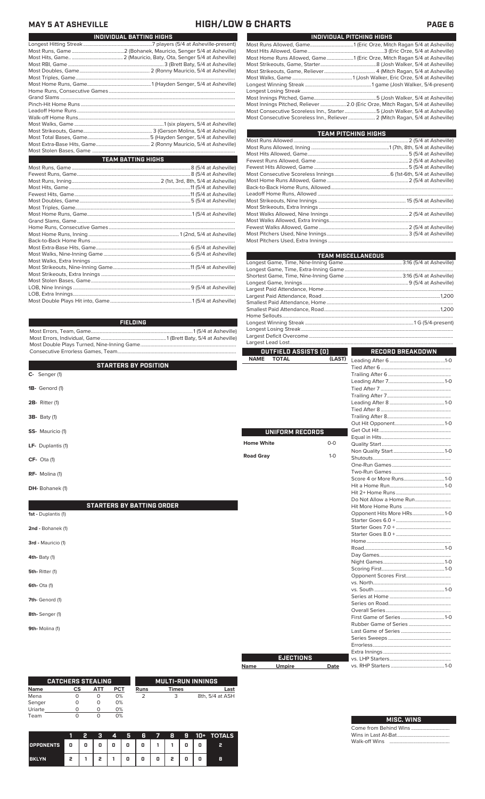### **MAY 5 AT ASHEVILLE HIGH/LOW & CHARTS PAGE 6**

| INDIVIDUAL BATTING HIGHS |
|--------------------------|
|                          |
|                          |
|                          |
|                          |
|                          |
|                          |
|                          |
|                          |
|                          |
|                          |
|                          |
|                          |
|                          |
|                          |
|                          |
|                          |
|                          |
| TEAM BATTING HIGHS       |

| FIELDING |  |
|----------|--|
|          |  |
|          |  |
|          |  |
|          |  |

|                                  | <b>OUTFIELD ASSISTS (O)</b> |        |
|----------------------------------|-----------------------------|--------|
| <b>STARTERS BY POSITION</b>      | <b>NAME</b><br><b>TOTAL</b> | (LAST) |
| C- Senger (1)                    |                             |        |
| 1B- Genord (1)                   |                             |        |
| <b>2B-</b> Ritter (1)            |                             |        |
| <b>3B-</b> Baty (1)              |                             |        |
| SS- Mauricio (1)                 | UNIFORM RECORDS             |        |
| LF- Duplantis (1)                | <b>Home White</b>           | $0-0$  |
| $CF-$ Ota (1)                    | <b>Road Gray</b>            | $1-0$  |
| RF- Molina (1)                   |                             |        |
| DH-Bohanek (1)                   |                             |        |
| <b>STARTERS BY BATTING ORDER</b> |                             |        |
| 1st - Duplantis (1)              |                             |        |
| 2nd - Bohanek (1)                |                             |        |
| 3rd - Mauricio (1)               |                             |        |
| <b>4th-Baty (1)</b>              |                             |        |
| 5th-Ritter (1)                   |                             |        |
| 6th- Ota (1)                     |                             |        |
| 7th- Genord (1)                  |                             |        |
| 8th-Senger (1)                   |                             |        |
| 9th-Molina (1)                   |                             |        |
|                                  |                             |        |
|                                  | <b>EJECTIONS</b>            |        |

|         | <b>CATCHERS STEALING</b> |     |            |      | <b>MULTI-RUN INNINGS</b> |                 |
|---------|--------------------------|-----|------------|------|--------------------------|-----------------|
| Name    | CS                       | ATT | <b>PCT</b> | Runs | <b>Times</b>             | Last            |
| Mena    |                          |     | 0%         |      |                          | 8th, 5/4 at ASH |
| Senger  |                          | O   | 0%         |      |                          |                 |
| Uriarte |                          |     | 0%         |      |                          |                 |
| Team    |                          |     | 0%         |      |                          |                 |

|                  |     | 2 |   | 4 | п | - 6 | $\overline{\phantom{a}}$ | - 8 | 9 |   | 10+ TOTALS |
|------------------|-----|---|---|---|---|-----|--------------------------|-----|---|---|------------|
| <b>OPPONENTS</b> | 40. | 0 | 0 | 0 | o | 0   |                          |     |   | 0 | 2          |
| <b>BKLYN</b>     | 2   |   | , |   | o | 0   | 0                        | 2   | 0 | 0 | 8          |

| INDIVIDUAL PITCHING HIGHS |                                                                                |  |  |  |  |  |  |
|---------------------------|--------------------------------------------------------------------------------|--|--|--|--|--|--|
|                           |                                                                                |  |  |  |  |  |  |
|                           |                                                                                |  |  |  |  |  |  |
|                           | Most Home Runs Allowed, Game1 (Eric Orze, Mitch Ragan 5/4 at Asheville)        |  |  |  |  |  |  |
|                           |                                                                                |  |  |  |  |  |  |
|                           |                                                                                |  |  |  |  |  |  |
|                           |                                                                                |  |  |  |  |  |  |
|                           |                                                                                |  |  |  |  |  |  |
|                           |                                                                                |  |  |  |  |  |  |
|                           |                                                                                |  |  |  |  |  |  |
|                           | Most Innings Pitched, Reliever  2.0 (Eric Orze, Mitch Ragan, 5/4 at Asheville) |  |  |  |  |  |  |
|                           | Most Consecutive Scoreless Inn., Starter5 (Josh Walker, 5/4 at Asheville)      |  |  |  |  |  |  |
|                           | Most Consecutive Scoreless Inn., Reliever  2 (Mitch Ragan, 5/4 at Asheville)   |  |  |  |  |  |  |

| TEAM PITCHING HIGHS |  |
|---------------------|--|
|                     |  |
|                     |  |
|                     |  |
|                     |  |
|                     |  |
|                     |  |
|                     |  |
|                     |  |
|                     |  |
|                     |  |
|                     |  |
|                     |  |
|                     |  |
|                     |  |
|                     |  |
|                     |  |

| <b>TEAM MISCELLANEOUS</b> |  |
|---------------------------|--|
|                           |  |
|                           |  |
|                           |  |
|                           |  |
|                           |  |
|                           |  |
|                           |  |
|                           |  |
|                           |  |
|                           |  |
|                           |  |
|                           |  |

|                   | Largest Lead Lost            |         |                           |  |
|-------------------|------------------------------|---------|---------------------------|--|
|                   | OUTFIELD ASSIS <u>TS (O)</u> |         | RECORD BREAKDOWN          |  |
| <b>NAME</b>       | <b>TOTAL</b>                 | (LAST)  |                           |  |
|                   |                              |         |                           |  |
|                   |                              |         |                           |  |
|                   |                              |         |                           |  |
|                   |                              |         |                           |  |
|                   |                              |         |                           |  |
|                   |                              |         |                           |  |
|                   |                              |         |                           |  |
|                   |                              |         |                           |  |
|                   |                              |         |                           |  |
|                   | UNIFORM RECORDS              |         |                           |  |
|                   |                              |         |                           |  |
| <b>Home White</b> |                              | $0 - 0$ |                           |  |
|                   |                              |         |                           |  |
| <b>Road Gray</b>  |                              | $1 - 0$ |                           |  |
|                   |                              |         |                           |  |
|                   |                              |         |                           |  |
|                   |                              |         | Score 4 or More Runs1-0   |  |
|                   |                              |         |                           |  |
|                   |                              |         |                           |  |
|                   |                              |         |                           |  |
|                   |                              |         |                           |  |
|                   |                              |         | Opponent Hits More HRs1-0 |  |
|                   |                              |         |                           |  |
|                   |                              |         |                           |  |
|                   |                              |         |                           |  |
|                   |                              |         |                           |  |
|                   |                              |         |                           |  |
|                   |                              |         |                           |  |
|                   |                              |         |                           |  |
|                   |                              |         |                           |  |
|                   |                              |         |                           |  |
|                   |                              |         |                           |  |
|                   |                              |         |                           |  |
|                   |                              |         |                           |  |
|                   |                              |         |                           |  |
|                   |                              |         |                           |  |
|                   |                              |         |                           |  |
|                   |                              |         |                           |  |
|                   |                              |         |                           |  |
|                   |                              |         |                           |  |
|                   |                              |         |                           |  |
|                   | EJECTIONS                    |         |                           |  |
| Name              | <b>Umpire</b>                | Date    |                           |  |
|                   |                              |         |                           |  |

| <b>MISC. WINS</b> |
|-------------------|
|                   |
|                   |
|                   |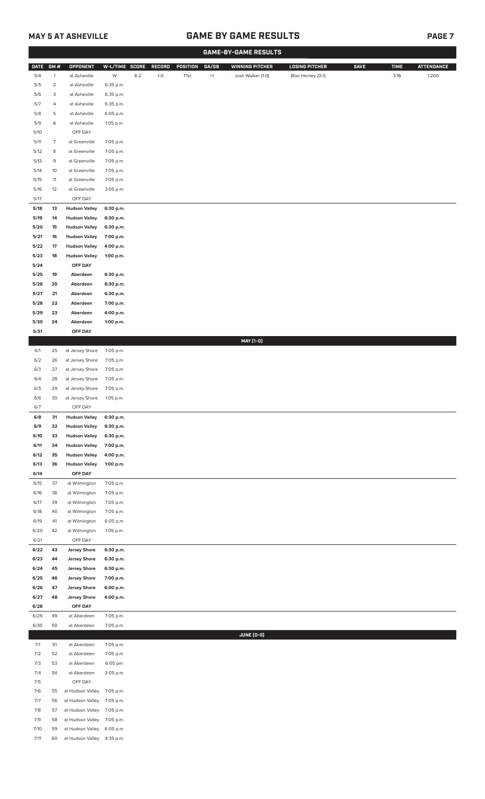## **MAY 5 AT ASHEVILLE GAME BY GAME RESULTS PAGE 7**

|              |                |                                    |                        |         |        |          |             | <b>GAME-BY-GAME RESULTS</b> |                       |             |             |                   |  |  |  |  |  |  |
|--------------|----------------|------------------------------------|------------------------|---------|--------|----------|-------------|-----------------------------|-----------------------|-------------|-------------|-------------------|--|--|--|--|--|--|
| <b>DATE</b>  | GM#            | <b>OPPONENT</b>                    | W-L/TIME SCORE         |         | RECORD | POSITION | GA/GB       | <b>WINNING PITCHER</b>      | <b>LOSING PITCHER</b> | <b>SAVE</b> | <b>TIME</b> | <b>ATTENDANCE</b> |  |  |  |  |  |  |
| 5/4          | $\mathbf{1}$   | at Asheville                       | W                      | $8 - 2$ | $1-0$  | T1st     | $^{\rm +1}$ | Josh Walker (1-0)           | Blair Henley (0-1)    |             | 3:16        | 1,200             |  |  |  |  |  |  |
| 5/5          | $\overline{a}$ | at Asheville                       | 6:35 p.m.              |         |        |          |             |                             |                       |             |             |                   |  |  |  |  |  |  |
| 5/6          | 3              | at Asheville                       | 6:35 p.m.              |         |        |          |             |                             |                       |             |             |                   |  |  |  |  |  |  |
| 5/7          | 4              | at Asheville                       | 6:35 p.m.              |         |        |          |             |                             |                       |             |             |                   |  |  |  |  |  |  |
| 5/8          | 5              | at Asheville                       | 6:05 p.m.              |         |        |          |             |                             |                       |             |             |                   |  |  |  |  |  |  |
| 5/9          | 6              | at Asheville                       | 1:05 p.m.              |         |        |          |             |                             |                       |             |             |                   |  |  |  |  |  |  |
| 5/10         |                | OFF DAY                            |                        |         |        |          |             |                             |                       |             |             |                   |  |  |  |  |  |  |
| 5/11         | 7              | at Greenville                      | 7:05 p.m.              |         |        |          |             |                             |                       |             |             |                   |  |  |  |  |  |  |
| 5/12         | 8              | at Greenville                      | 7:05 p.m.              |         |        |          |             |                             |                       |             |             |                   |  |  |  |  |  |  |
| 5/13         | 9              | at Greenville                      | 7:05 p.m.              |         |        |          |             |                             |                       |             |             |                   |  |  |  |  |  |  |
| 5/14         | 10             | at Greenville                      | 7:05 p.m.              |         |        |          |             |                             |                       |             |             |                   |  |  |  |  |  |  |
| 5/15         | 11             | at Greenville                      | 7:05 p.m.              |         |        |          |             |                             |                       |             |             |                   |  |  |  |  |  |  |
| 5/16<br>5/17 | 12             | at Greenville<br>OFF DAY           | 3:05 p.m.              |         |        |          |             |                             |                       |             |             |                   |  |  |  |  |  |  |
| 5/18         | 13             | <b>Hudson Valley</b>               | 6:30 p.m.              |         |        |          |             |                             |                       |             |             |                   |  |  |  |  |  |  |
| 5/19         | 14             | <b>Hudson Valley</b>               | 6:30 p.m.              |         |        |          |             |                             |                       |             |             |                   |  |  |  |  |  |  |
| 5/20         | 15             | <b>Hudson Valley</b>               | 6:30 p.m.              |         |        |          |             |                             |                       |             |             |                   |  |  |  |  |  |  |
| 5/21         | 16             | <b>Hudson Valley</b>               | 7:00 p.m.              |         |        |          |             |                             |                       |             |             |                   |  |  |  |  |  |  |
| 5/22         | 17             | <b>Hudson Valley</b>               | 4:00 p.m.              |         |        |          |             |                             |                       |             |             |                   |  |  |  |  |  |  |
| 5/23         | 18             | <b>Hudson Valley</b>               | 1:00 p.m.              |         |        |          |             |                             |                       |             |             |                   |  |  |  |  |  |  |
| 5/24         |                | OFF DAY                            |                        |         |        |          |             |                             |                       |             |             |                   |  |  |  |  |  |  |
| 5/25         | 19             | Aberdeen                           | 6:30 p.m.              |         |        |          |             |                             |                       |             |             |                   |  |  |  |  |  |  |
| 5/26         | 20             | Aberdeen                           | 6:30 p.m.              |         |        |          |             |                             |                       |             |             |                   |  |  |  |  |  |  |
| 5/27         | 21             | Aberdeen                           | 6:30 p.m.              |         |        |          |             |                             |                       |             |             |                   |  |  |  |  |  |  |
| 5/28         | 22             | Aberdeen                           | 7:00 p.m.              |         |        |          |             |                             |                       |             |             |                   |  |  |  |  |  |  |
| 5/29         | 23             | Aberdeen                           | 4:00 p.m.              |         |        |          |             |                             |                       |             |             |                   |  |  |  |  |  |  |
| 5/30         | 24             | Aberdeen                           | 1:00 p.m.              |         |        |          |             |                             |                       |             |             |                   |  |  |  |  |  |  |
| 5/31         |                | OFF DAY                            |                        |         |        |          |             |                             |                       |             |             |                   |  |  |  |  |  |  |
|              |                |                                    |                        |         |        |          |             | MAY [1-0]                   |                       |             |             |                   |  |  |  |  |  |  |
| 6/1<br>6/2   | 25<br>26       | at Jersey Shore<br>at Jersey Shore | 7:05 p.m.<br>7:05 p.m. |         |        |          |             |                             |                       |             |             |                   |  |  |  |  |  |  |
| 6/3          | 27             | at Jersey Shore                    | 7:05 p.m.              |         |        |          |             |                             |                       |             |             |                   |  |  |  |  |  |  |
| 6/4          | 28             | at Jersey Shore                    | 7:05 p.m.              |         |        |          |             |                             |                       |             |             |                   |  |  |  |  |  |  |
| 6/5          | 29             | at Jersey Shore                    | 7:05 p.m.              |         |        |          |             |                             |                       |             |             |                   |  |  |  |  |  |  |
| 6/6          | 30             | at Jersey Shore                    | 1:05 p.m.              |         |        |          |             |                             |                       |             |             |                   |  |  |  |  |  |  |
| 6/7          |                | OFF DAY                            |                        |         |        |          |             |                             |                       |             |             |                   |  |  |  |  |  |  |
| 6/8          | 31             | <b>Hudson Valley</b>               | 6:30 p.m.              |         |        |          |             |                             |                       |             |             |                   |  |  |  |  |  |  |
| 6/9          | 32             | <b>Hudson Valley</b>               | 6:30 p.m.              |         |        |          |             |                             |                       |             |             |                   |  |  |  |  |  |  |
| 6/10         | 33             | <b>Hudson Valley</b>               | 6:30 p.m.              |         |        |          |             |                             |                       |             |             |                   |  |  |  |  |  |  |
| 6/11         | 34             | <b>Hudson Valley</b>               | 7:00 p.m.              |         |        |          |             |                             |                       |             |             |                   |  |  |  |  |  |  |
| 6/12         | 35             | <b>Hudson Valley</b>               | 4:00 p.m.              |         |        |          |             |                             |                       |             |             |                   |  |  |  |  |  |  |
| 6/13         | 36             | <b>Hudson Valley</b>               | 1:00 p.m.              |         |        |          |             |                             |                       |             |             |                   |  |  |  |  |  |  |
| 6/14         |                | OFF DAY                            |                        |         |        |          |             |                             |                       |             |             |                   |  |  |  |  |  |  |
| 6/15<br>6/16 | 37<br>38       | at Wilmington<br>at Wilmington     | 7:05 p.m.<br>7:05 p.m. |         |        |          |             |                             |                       |             |             |                   |  |  |  |  |  |  |
| 6/17         | 39             | at Wilmington                      | 7:05 p.m.              |         |        |          |             |                             |                       |             |             |                   |  |  |  |  |  |  |
| 6/18         | 40             | at Wilmington                      | 7:05 p.m.              |         |        |          |             |                             |                       |             |             |                   |  |  |  |  |  |  |
| 6/19         | 41             | at Wilmington                      | 6:05 p.m.              |         |        |          |             |                             |                       |             |             |                   |  |  |  |  |  |  |
| 6/20         | 42             | at Wilmington                      | 1:05 p.m.              |         |        |          |             |                             |                       |             |             |                   |  |  |  |  |  |  |
| 6/21         |                | OFF DAY                            |                        |         |        |          |             |                             |                       |             |             |                   |  |  |  |  |  |  |
| 6/22         | 43             | <b>Jersey Shore</b>                | 6:30 p.m.              |         |        |          |             |                             |                       |             |             |                   |  |  |  |  |  |  |
| 6/23         | 44             | <b>Jersey Shore</b>                | 6:30 p.m.              |         |        |          |             |                             |                       |             |             |                   |  |  |  |  |  |  |
| 6/24         | 45             | <b>Jersey Shore</b>                | 6:30 p.m.              |         |        |          |             |                             |                       |             |             |                   |  |  |  |  |  |  |
| 6/25         | 46             | <b>Jersey Shore</b>                | 7:00 p.m.              |         |        |          |             |                             |                       |             |             |                   |  |  |  |  |  |  |
| 6/26         | 47             | <b>Jersey Shore</b>                | 6:00 p.m.              |         |        |          |             |                             |                       |             |             |                   |  |  |  |  |  |  |
| 6/27         | 48             | <b>Jersey Shore</b>                | 4:00 p.m.              |         |        |          |             |                             |                       |             |             |                   |  |  |  |  |  |  |
| 6/28         |                | OFF DAY                            |                        |         |        |          |             |                             |                       |             |             |                   |  |  |  |  |  |  |
| 6/29<br>6/30 | 49<br>50       | at Aberdeen<br>at Aberdeen         | 7:05 p.m.<br>7:05 p.m. |         |        |          |             |                             |                       |             |             |                   |  |  |  |  |  |  |
|              |                |                                    |                        |         |        |          |             | JUNE (0-0)                  |                       |             |             |                   |  |  |  |  |  |  |
| 7/1          | 51             | at Aberdeen                        | 7:05 p.m.              |         |        |          |             |                             |                       |             |             |                   |  |  |  |  |  |  |
| 7/2          | 52             | at Aberdeen                        | 7:05 p.m.              |         |        |          |             |                             |                       |             |             |                   |  |  |  |  |  |  |
| 7/3          | 53             | at Aberdeen                        | 6:05 pm.               |         |        |          |             |                             |                       |             |             |                   |  |  |  |  |  |  |
| 7/4          | 54             | at Aberdeen                        | 2:05 p.m.              |         |        |          |             |                             |                       |             |             |                   |  |  |  |  |  |  |
| 7/5          |                | OFF DAY                            |                        |         |        |          |             |                             |                       |             |             |                   |  |  |  |  |  |  |
| 7/6          | 55             | at Hudson Valley                   | 7:05 p.m.              |         |        |          |             |                             |                       |             |             |                   |  |  |  |  |  |  |
| 7/7          | 56             | at Hudson Valley                   | 7:05 p.m.              |         |        |          |             |                             |                       |             |             |                   |  |  |  |  |  |  |
| 7/8          | 57             | at Hudson Valley 7:05 p.m.         |                        |         |        |          |             |                             |                       |             |             |                   |  |  |  |  |  |  |
| 7/9          | 58             | at Hudson Valley                   | 7:05 p.m.              |         |        |          |             |                             |                       |             |             |                   |  |  |  |  |  |  |
| 7/10         | 59             | at Hudson Valley                   | 6:05 p.m.              |         |        |          |             |                             |                       |             |             |                   |  |  |  |  |  |  |
| 7/11         | 60             | at Hudson Valley                   | 4:35 p.m.              |         |        |          |             |                             |                       |             |             |                   |  |  |  |  |  |  |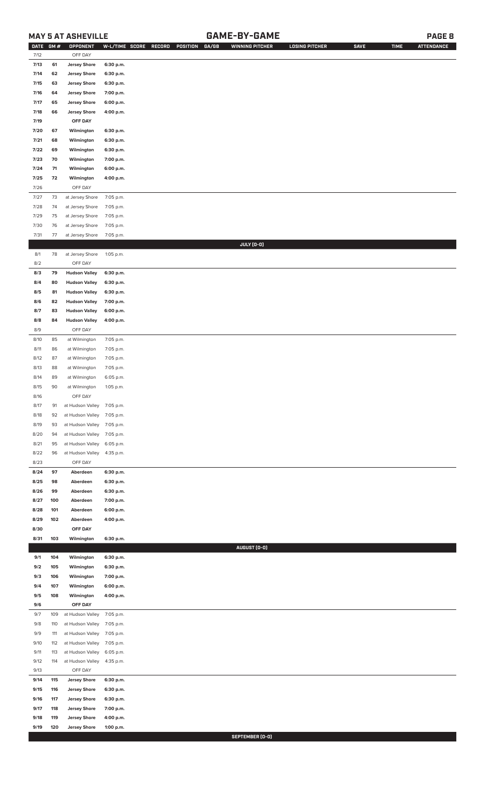### **MAY 5 AT ASHEVILLE GAME-BY-GAME PAGE 8**

| <b>DATE</b> | GM# | OPPONENT                   | W-L/TIME SCORE | GA/GB<br>RECORD<br>POSITION | <b>WINNING PITCHER</b> | <b>LOSING PITCHER</b> | <b>SAVE</b> | <b>TIME</b> | <b>ATTENDANCE</b> |
|-------------|-----|----------------------------|----------------|-----------------------------|------------------------|-----------------------|-------------|-------------|-------------------|
| 7/12        |     | OFF DAY                    |                |                             |                        |                       |             |             |                   |
| 7/13        | 61  | <b>Jersey Shore</b>        | 6:30 p.m.      |                             |                        |                       |             |             |                   |
| 7/14        | 62  | <b>Jersey Shore</b>        | 6:30 p.m.      |                             |                        |                       |             |             |                   |
| 7/15        | 63  | <b>Jersey Shore</b>        | 6:30 p.m.      |                             |                        |                       |             |             |                   |
| 7/16        | 64  | <b>Jersey Shore</b>        | 7:00 p.m.      |                             |                        |                       |             |             |                   |
| 7/17        | 65  | <b>Jersey Shore</b>        | 6:00 p.m.      |                             |                        |                       |             |             |                   |
| 7/18        | 66  | <b>Jersey Shore</b>        | 4:00 p.m.      |                             |                        |                       |             |             |                   |
| 7/19        |     | OFF DAY                    |                |                             |                        |                       |             |             |                   |
| 7/20        | 67  | Wilmington                 | 6:30 p.m.      |                             |                        |                       |             |             |                   |
| 7/21        | 68  | Wilmington                 | 6:30 p.m.      |                             |                        |                       |             |             |                   |
| 7/22        | 69  | Wilmington                 | 6:30 p.m.      |                             |                        |                       |             |             |                   |
| 7/23        | 70  | Wilmington                 | 7:00 p.m.      |                             |                        |                       |             |             |                   |
| 7/24        | 71  | Wilmington                 | 6:00 p.m.      |                             |                        |                       |             |             |                   |
| 7/25        | 72  | Wilmington                 | 4:00 p.m.      |                             |                        |                       |             |             |                   |
| 7/26        |     | OFF DAY                    |                |                             |                        |                       |             |             |                   |
| 7/27        | 73  | at Jersey Shore            | 7:05 p.m.      |                             |                        |                       |             |             |                   |
| 7/28        | 74  | at Jersey Shore            | 7:05 p.m.      |                             |                        |                       |             |             |                   |
| 7/29        | 75  | at Jersey Shore            | 7:05 p.m.      |                             |                        |                       |             |             |                   |
| 7/30        | 76  | at Jersey Shore            | 7:05 p.m.      |                             |                        |                       |             |             |                   |
| 7/31        | 77  | at Jersey Shore            | 7:05 p.m.      |                             |                        |                       |             |             |                   |
|             |     |                            |                |                             | JULY (0-0)             |                       |             |             |                   |
| 8/1         | 78  | at Jersey Shore            | 1:05 p.m.      |                             |                        |                       |             |             |                   |
| 8/2         |     | OFF DAY                    |                |                             |                        |                       |             |             |                   |
| 8/3         | 79  | <b>Hudson Valley</b>       | 6:30 p.m.      |                             |                        |                       |             |             |                   |
| 8/4         | 80  | <b>Hudson Valley</b>       | 6:30 p.m.      |                             |                        |                       |             |             |                   |
| 8/5         | 81  | <b>Hudson Valley</b>       | 6:30 p.m.      |                             |                        |                       |             |             |                   |
| 8/6         | 82  | <b>Hudson Valley</b>       | 7:00 p.m.      |                             |                        |                       |             |             |                   |
| 8/7         | 83  | <b>Hudson Valley</b>       | 6:00 p.m.      |                             |                        |                       |             |             |                   |
| 8/8         | 84  | <b>Hudson Valley</b>       | 4:00 p.m.      |                             |                        |                       |             |             |                   |
| 8/9         |     | OFF DAY                    |                |                             |                        |                       |             |             |                   |
| 8/10        | 85  | at Wilmington              | 7:05 p.m.      |                             |                        |                       |             |             |                   |
| 8/11        | 86  | at Wilmington              | 7:05 p.m.      |                             |                        |                       |             |             |                   |
| 8/12        | 87  | at Wilmington              | 7:05 p.m.      |                             |                        |                       |             |             |                   |
| 8/13        | 88  | at Wilmington              | 7:05 p.m.      |                             |                        |                       |             |             |                   |
| 8/14        | 89  | at Wilmington              | 6:05 p.m.      |                             |                        |                       |             |             |                   |
| 8/15        | 90  | at Wilmington              | 1:05 p.m.      |                             |                        |                       |             |             |                   |
| 8/16        |     | OFF DAY                    |                |                             |                        |                       |             |             |                   |
| 8/17        | 91  | at Hudson Valley 7:05 p.m. |                |                             |                        |                       |             |             |                   |
| 8/18        | 92  | at Hudson Valley           | 7:05 p.m.      |                             |                        |                       |             |             |                   |
| 8/19        | 93  | at Hudson Valley           | 7:05 p.m.      |                             |                        |                       |             |             |                   |
| 8/20        | 94  | at Hudson Valley           | 7:05 p.m.      |                             |                        |                       |             |             |                   |
| 8/21        | 95  | at Hudson Valley           | 6:05 p.m.      |                             |                        |                       |             |             |                   |
| 8/22        | 96  | at Hudson Valley           | 4:35 p.m.      |                             |                        |                       |             |             |                   |
| 8/23        |     | OFF DAY                    |                |                             |                        |                       |             |             |                   |
| 8/24        | 97  | Aberdeen                   | 6:30 p.m.      |                             |                        |                       |             |             |                   |
| 8/25        | 98  | Aberdeen                   | 6:30 p.m.      |                             |                        |                       |             |             |                   |
| 8/26        | 99  | Aberdeen                   | 6:30 p.m.      |                             |                        |                       |             |             |                   |
| 8/27        | 100 | Aberdeen                   | 7:00 p.m.      |                             |                        |                       |             |             |                   |
| 8/28        | 101 | Aberdeen                   | 6:00 p.m.      |                             |                        |                       |             |             |                   |
| 8/29        | 102 | Aberdeen                   | 4:00 p.m.      |                             |                        |                       |             |             |                   |
| 8/30        |     | OFF DAY                    |                |                             |                        |                       |             |             |                   |
| 8/31        | 103 | Wilmington                 | 6:30 p.m.      |                             |                        |                       |             |             |                   |
|             |     |                            |                |                             | AUGUST (0-0)           |                       |             |             |                   |
| 9/1         | 104 | Wilmington                 | 6:30 p.m.      |                             |                        |                       |             |             |                   |
| 9/2         | 105 | Wilmington                 | 6:30 p.m.      |                             |                        |                       |             |             |                   |
| 9/3         | 106 | Wilmington                 | 7:00 p.m.      |                             |                        |                       |             |             |                   |
| 9/4         | 107 | Wilmington                 | 6:00 p.m.      |                             |                        |                       |             |             |                   |
| 9/5         | 108 | Wilmington                 | 4:00 p.m.      |                             |                        |                       |             |             |                   |
| 9/6         |     | OFF DAY                    |                |                             |                        |                       |             |             |                   |
| 9/7         | 109 | at Hudson Valley           | 7:05 p.m.      |                             |                        |                       |             |             |                   |
| 9/8         | 110 | at Hudson Valley           | 7:05 p.m.      |                             |                        |                       |             |             |                   |
| 9/9         | 111 | at Hudson Valley           | 7:05 p.m.      |                             |                        |                       |             |             |                   |
| 9/10        | 112 | at Hudson Valley           | 7:05 p.m.      |                             |                        |                       |             |             |                   |
| 9/11        | 113 | at Hudson Valley           | 6:05 p.m.      |                             |                        |                       |             |             |                   |
| 9/12        | 114 | at Hudson Valley           | 4:35 p.m.      |                             |                        |                       |             |             |                   |
| 9/13        |     | OFF DAY                    |                |                             |                        |                       |             |             |                   |
| 9/14        | 115 | <b>Jersey Shore</b>        | 6:30 p.m.      |                             |                        |                       |             |             |                   |
| 9/15        | 116 | <b>Jersey Shore</b>        | 6:30 p.m.      |                             |                        |                       |             |             |                   |
| 9/16        | 117 | <b>Jersey Shore</b>        | 6:30 p.m.      |                             |                        |                       |             |             |                   |
| 9/17        | 118 | <b>Jersey Shore</b>        | 7:00 p.m.      |                             |                        |                       |             |             |                   |
| 9/18        | 119 | <b>Jersey Shore</b>        | 4:00 p.m.      |                             |                        |                       |             |             |                   |
| 9/19        | 120 | <b>Jersey Shore</b>        | 1:00 p.m.      |                             |                        |                       |             |             |                   |

**SEPTEMBER (0-0)**